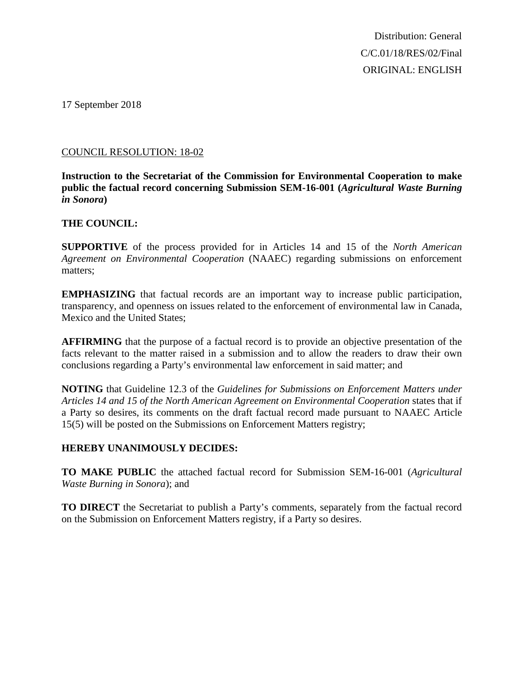Distribution: General C/C.01/18/RES/02/Final ORIGINAL: ENGLISH

17 September 2018

#### COUNCIL RESOLUTION: 18-02

**Instruction to the Secretariat of the Commission for Environmental Cooperation to make public the factual record concerning Submission SEM-16-001 (***Agricultural Waste Burning in Sonora***)**

### **THE COUNCIL:**

**SUPPORTIVE** of the process provided for in Articles 14 and 15 of the *North American Agreement on Environmental Cooperation* (NAAEC) regarding submissions on enforcement matters;

**EMPHASIZING** that factual records are an important way to increase public participation, transparency, and openness on issues related to the enforcement of environmental law in Canada, Mexico and the United States;

**AFFIRMING** that the purpose of a factual record is to provide an objective presentation of the facts relevant to the matter raised in a submission and to allow the readers to draw their own conclusions regarding a Party's environmental law enforcement in said matter; and

**NOTING** that Guideline 12.3 of the *Guidelines for Submissions on Enforcement Matters under Articles 14 and 15 of the North American Agreement on Environmental Cooperation* states that if a Party so desires, its comments on the draft factual record made pursuant to NAAEC Article 15(5) will be posted on the Submissions on Enforcement Matters registry;

## **HEREBY UNANIMOUSLY DECIDES:**

**TO MAKE PUBLIC** the attached factual record for Submission SEM-16-001 (*Agricultural Waste Burning in Sonora*); and

**TO DIRECT** the Secretariat to publish a Party's comments, separately from the factual record on the Submission on Enforcement Matters registry, if a Party so desires.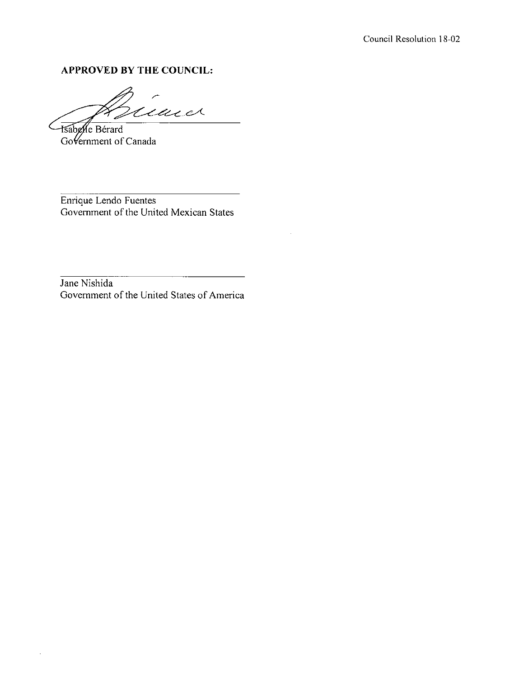### APPROVED BY THE COUNCIL:

ind .<br>DC Sabelle Bérard

Government of Canada

Enrique Lendo Fuentes Government of the United Mexican States

Jane Nishida Government of the United States of America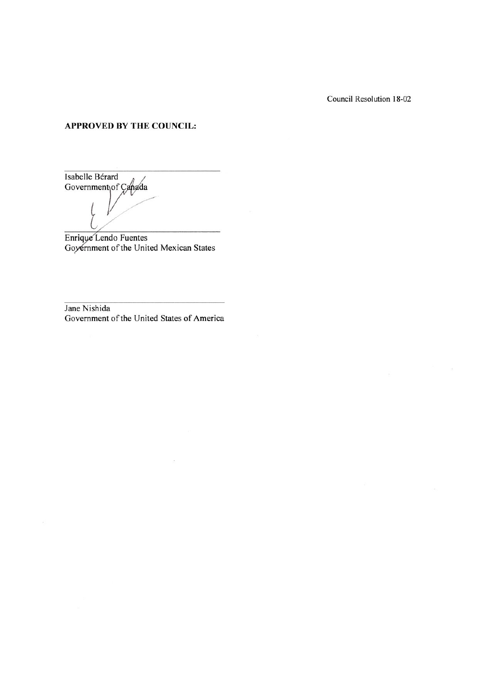Council Resolution 18-02

 $\sim$ 

#### **APPROVED BY THE COUNCIL:**

Isabelle Bérard Government of Canada

Enrique Lendo Fuentes<br>Goyernment of the United Mexican States

Jane Nishida Government of the United States of America

 $\bar{m}$